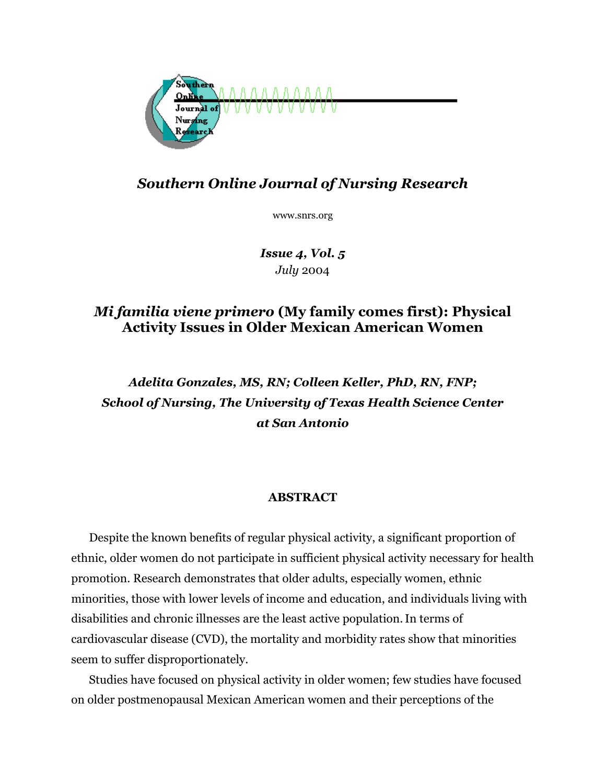

# *Southern Online Journal of Nursing Research*

www.snrs.org

*Issue 4, Vol. 5 July* 2004

## *Mi familia viene primero* **(My family comes first): Physical Activity Issues in Older Mexican American Women**

# *Adelita Gonzales, MS, RN; Colleen Keller, PhD, RN, FNP; School of Nursing, The University of Texas Health Science Center at San Antonio*

### **ABSTRACT**

Despite the known benefits of regular physical activity, a significant proportion of ethnic, older women do not participate in sufficient physical activity necessary for health promotion. Research demonstrates that older adults, especially women, ethnic minorities, those with lower levels of income and education, and individuals living with disabilities and chronic illnesses are the least active population.In terms of cardiovascular disease (CVD), the mortality and morbidity rates show that minorities seem to suffer disproportionately.

Studies have focused on physical activity in older women; few studies have focused on older postmenopausal Mexican American women and their perceptions of the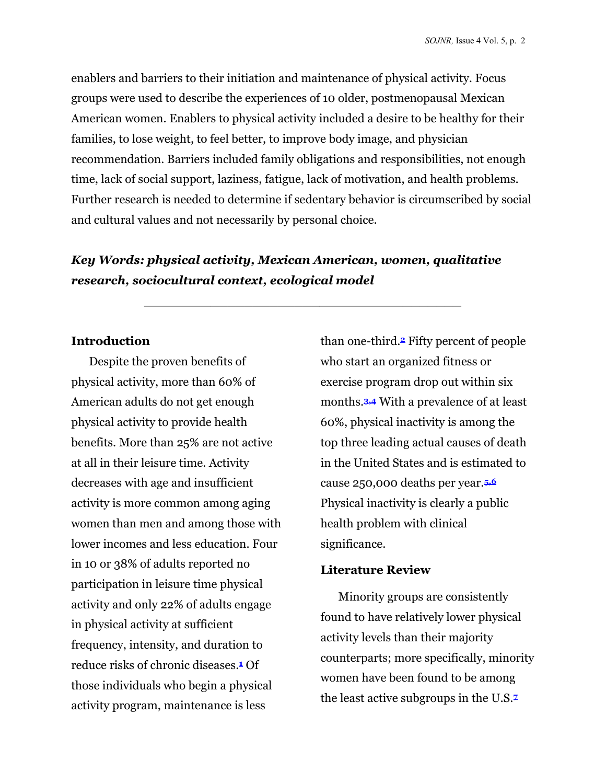enablers and barriers to their initiation and maintenance of physical activity. Focus groups were used to describe the experiences of 10 older, postmenopausal Mexican American women. Enablers to physical activity included a desire to be healthy for their families, to lose weight, to feel better, to improve body image, and physician recommendation. Barriers included family obligations and responsibilities, not enough time, lack of social support, laziness, fatigue, lack of motivation, and health problems. Further research is needed to determine if sedentary behavior is circumscribed by social and cultural values and not necessarily by personal choice.

## *Key Words: physical activity, Mexican American, women, qualitative research, sociocultural context, ecological model*

**\_\_\_\_\_\_\_\_\_\_\_\_\_\_\_\_\_\_\_\_\_\_\_\_\_\_\_\_\_\_\_\_\_\_\_\_\_\_** 

#### **Introduction**

Despite the proven benefits of physical activity, more than 60% of American adults do not get enough physical activity to provide health benefits. More than 25% are not active at all in their leisure time. Activity decreases with age and insufficient activity is more common among aging women than men and among those with lower incomes and less education. Four in 10 or 38% of adults reported no participation in leisure time physical activity and only 22% of adults engage in physical activity at sufficient frequency, intensity, and duration to reduce risks of chronic diseases.**1** Of those individuals who begin a physical activity program, maintenance is less

than one-third.**2** Fifty percent of people who start an organized fitness or exercise program drop out within six months.**3,4** With a prevalence of at least 60%, physical inactivity is among the top three leading actual causes of death in the United States and is estimated to cause 250,000 deaths per year.**5,6** Physical inactivity is clearly a public health problem with clinical significance.

#### **Literature Review**

Minority groups are consistently found to have relatively lower physical activity levels than their majority counterparts; more specifically, minority women have been found to be among the least active subgroups in the U.S.**7**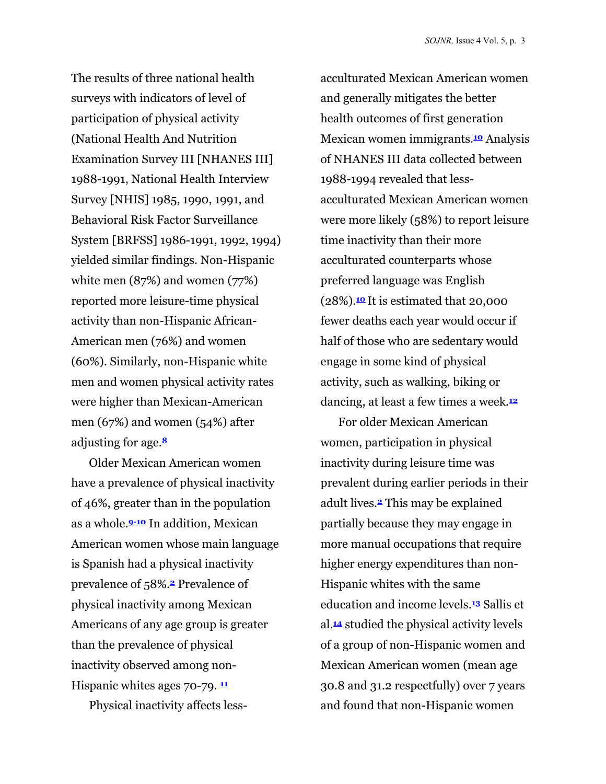The results of three national health surveys with indicators of level of participation of physical activity (National Health And Nutrition Examination Survey III [NHANES III] 1988-1991, National Health Interview Survey [NHIS] 1985, 1990, 1991, and Behavioral Risk Factor Surveillance System [BRFSS] 1986-1991, 1992, 1994) yielded similar findings. Non-Hispanic white men (87%) and women (77%) reported more leisure-time physical activity than non-Hispanic African-American men (76%) and women (60%). Similarly, non-Hispanic white men and women physical activity rates were higher than Mexican-American men (67%) and women (54%) after adjusting for age.**<sup>8</sup>**

Older Mexican American women have a prevalence of physical inactivity of 46%, greater than in the population as a whole.**9-10** In addition, Mexican American women whose main language is Spanish had a physical inactivity prevalence of 58%.**2** Prevalence of physical inactivity among Mexican Americans of any age group is greater than the prevalence of physical inactivity observed among non-Hispanic whites ages 70-79. **<sup>11</sup>**

Physical inactivity affects less-

acculturated Mexican American women and generally mitigates the better health outcomes of first generation Mexican women immigrants.**10** Analysis of NHANES III data collected between 1988-1994 revealed that lessacculturated Mexican American women were more likely (58%) to report leisure time inactivity than their more acculturated counterparts whose preferred language was English (28%).**<sup>10</sup>** It is estimated that 20,000 fewer deaths each year would occur if half of those who are sedentary would engage in some kind of physical activity, such as walking, biking or dancing, at least a few times a week.**<sup>12</sup>**

For older Mexican American women, participation in physical inactivity during leisure time was prevalent during earlier periods in their adult lives.**2** This may be explained partially because they may engage in more manual occupations that require higher energy expenditures than non-Hispanic whites with the same education and income levels.**13** Sallis et al.**14** studied the physical activity levels of a group of non-Hispanic women and Mexican American women (mean age 30.8 and 31.2 respectfully) over 7 years and found that non-Hispanic women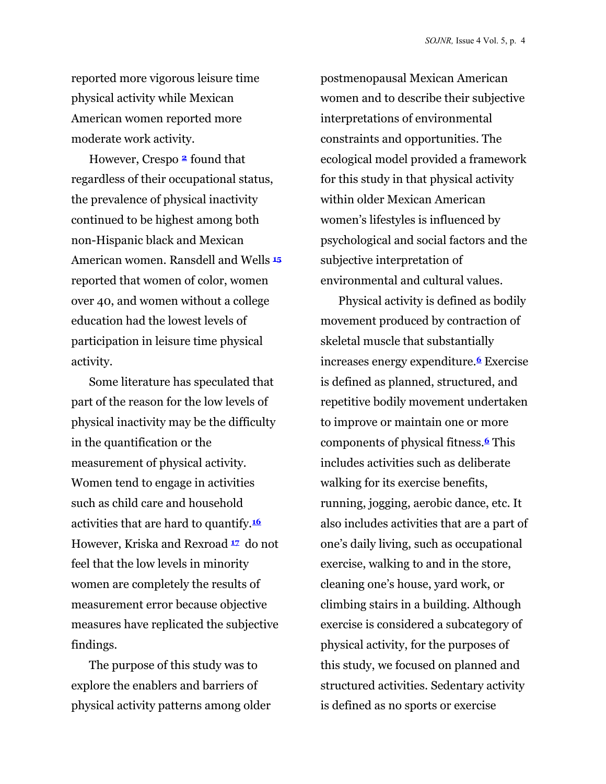reported more vigorous leisure time physical activity while Mexican American women reported more moderate work activity.

However, Crespo **2** found that regardless of their occupational status, the prevalence of physical inactivity continued to be highest among both non-Hispanic black and Mexican American women. Ransdell and Wells **<sup>15</sup>** reported that women of color, women over 40, and women without a college education had the lowest levels of participation in leisure time physical activity.

Some literature has speculated that part of the reason for the low levels of physical inactivity may be the difficulty in the quantification or the measurement of physical activity. Women tend to engage in activities such as child care and household activities that are hard to quantify.**<sup>16</sup>** However, Kriska and Rexroad **<sup>17</sup>** do not feel that the low levels in minority women are completely the results of measurement error because objective measures have replicated the subjective findings.

The purpose of this study was to explore the enablers and barriers of physical activity patterns among older postmenopausal Mexican American women and to describe their subjective interpretations of environmental constraints and opportunities. The ecological model provided a framework for this study in that physical activity within older Mexican American women's lifestyles is influenced by psychological and social factors and the subjective interpretation of environmental and cultural values.

Physical activity is defined as bodily movement produced by contraction of skeletal muscle that substantially increases energy expenditure.**6** Exercise is defined as planned, structured, and repetitive bodily movement undertaken to improve or maintain one or more components of physical fitness.**6** This includes activities such as deliberate walking for its exercise benefits, running, jogging, aerobic dance, etc. It also includes activities that are a part of one's daily living, such as occupational exercise, walking to and in the store, cleaning one's house, yard work, or climbing stairs in a building. Although exercise is considered a subcategory of physical activity, for the purposes of this study, we focused on planned and structured activities. Sedentary activity is defined as no sports or exercise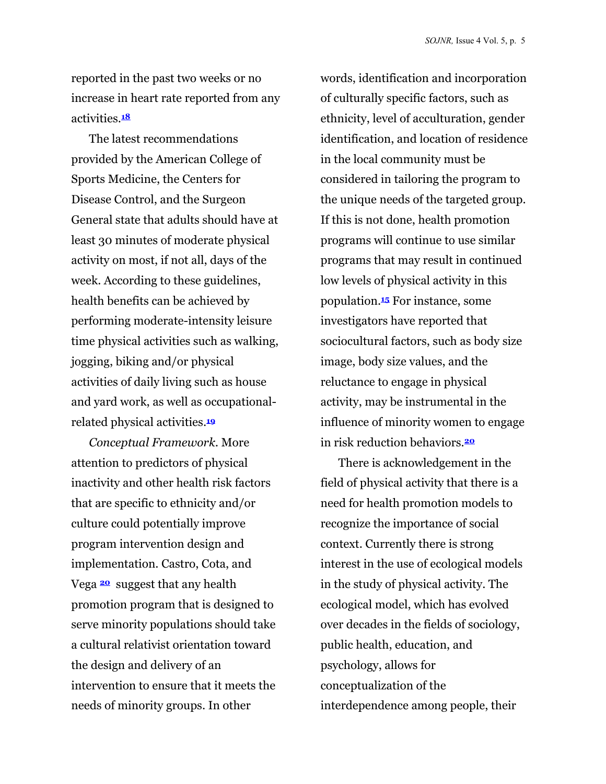reported in the past two weeks or no increase in heart rate reported from any activities.**<sup>18</sup>**

The latest recommendations provided by the American College of Sports Medicine, the Centers for Disease Control, and the Surgeon General state that adults should have at least 30 minutes of moderate physical activity on most, if not all, days of the week. According to these guidelines, health benefits can be achieved by performing moderate-intensity leisure time physical activities such as walking, jogging, biking and/or physical activities of daily living such as house and yard work, as well as occupationalrelated physical activities.**<sup>19</sup>**

*Conceptual Framework.* More attention to predictors of physical inactivity and other health risk factors that are specific to ethnicity and/or culture could potentially improve program intervention design and implementation. Castro, Cota, and Vega **<sup>20</sup>** suggest that any health promotion program that is designed to serve minority populations should take a cultural relativist orientation toward the design and delivery of an intervention to ensure that it meets the needs of minority groups. In other

words, identification and incorporation of culturally specific factors, such as ethnicity, level of acculturation, gender identification, and location of residence in the local community must be considered in tailoring the program to the unique needs of the targeted group. If this is not done, health promotion programs will continue to use similar programs that may result in continued low levels of physical activity in this population.**15** For instance, some investigators have reported that sociocultural factors, such as body size image, body size values, and the reluctance to engage in physical activity, may be instrumental in the influence of minority women to engage in risk reduction behaviors.**<sup>20</sup>**

There is acknowledgement in the field of physical activity that there is a need for health promotion models to recognize the importance of social context. Currently there is strong interest in the use of ecological models in the study of physical activity. The ecological model, which has evolved over decades in the fields of sociology, public health, education, and psychology, allows for conceptualization of the interdependence among people, their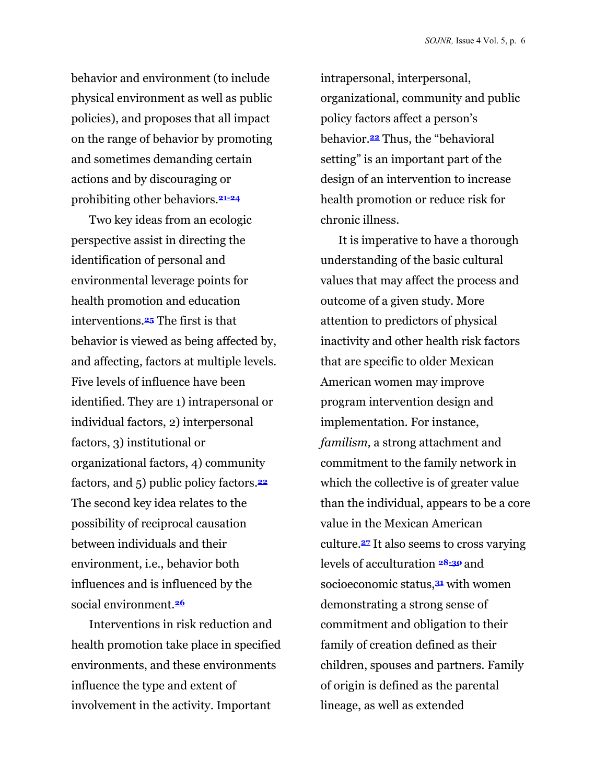behavior and environment (to include physical environment as well as public policies), and proposes that all impact on the range of behavior by promoting and sometimes demanding certain actions and by discouraging or prohibiting other behaviors.**21-24**

Two key ideas from an ecologic perspective assist in directing the identification of personal and environmental leverage points for health promotion and education interventions.**25** The first is that behavior is viewed as being affected by, and affecting, factors at multiple levels. Five levels of influence have been identified. They are 1) intrapersonal or individual factors, 2) interpersonal factors, 3) institutional or organizational factors, 4) community factors, and 5) public policy factors.**<sup>22</sup>** The second key idea relates to the possibility of reciprocal causation between individuals and their environment, i.e., behavior both influences and is influenced by the social environment.**<sup>26</sup>**

Interventions in risk reduction and health promotion take place in specified environments, and these environments influence the type and extent of involvement in the activity. Important

intrapersonal, interpersonal, organizational, community and public policy factors affect a person's behavior.**22** Thus, the "behavioral setting" is an important part of the design of an intervention to increase health promotion or reduce risk for chronic illness.

It is imperative to have a thorough understanding of the basic cultural values that may affect the process and outcome of a given study. More attention to predictors of physical inactivity and other health risk factors that are specific to older Mexican American women may improve program intervention design and implementation. For instance, *familism,* a strong attachment and commitment to the family network in which the collective is of greater value than the individual, appears to be a core value in the Mexican American culture.**27** It also seems to cross varying levels of acculturation **28-30** and socioeconomic status,**31** with women demonstrating a strong sense of commitment and obligation to their family of creation defined as their children, spouses and partners. Family of origin is defined as the parental lineage, as well as extended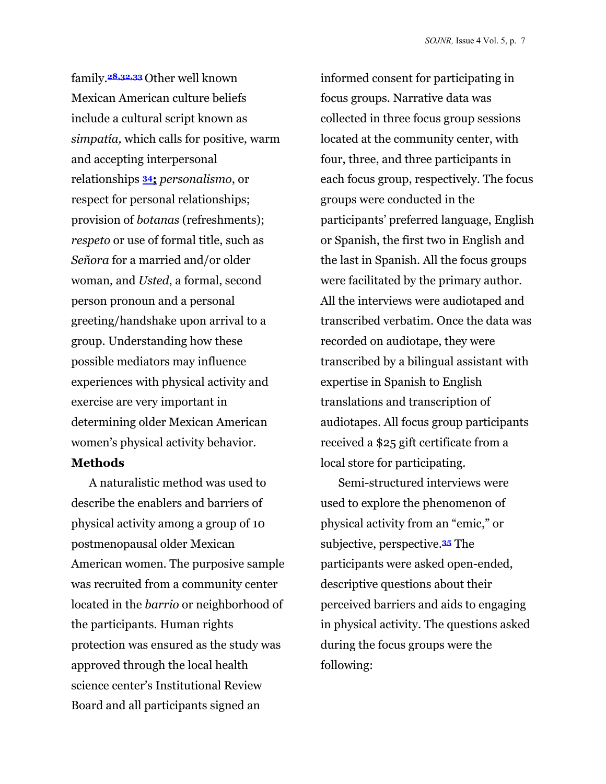family.**28,32,33** Other well known Mexican American culture beliefs include a cultural script known as *simpatía,* which calls for positive, warm and accepting interpersonal relationships **34;** *personalismo*, or respect for personal relationships; provision of *botanas* (refreshments); *respeto* or use of formal title, such as *Señora* for a married and/or older woman*,* and *Usted*, a formal, second person pronoun and a personal greeting/handshake upon arrival to a group. Understanding how these possible mediators may influence experiences with physical activity and exercise are very important in determining older Mexican American women's physical activity behavior.

#### **Methods**

A naturalistic method was used to describe the enablers and barriers of physical activity among a group of 10 postmenopausal older Mexican American women. The purposive sample was recruited from a community center located in the *barrio* or neighborhood of the participants. Human rights protection was ensured as the study was approved through the local health science center's Institutional Review Board and all participants signed an

informed consent for participating in focus groups. Narrative data was collected in three focus group sessions located at the community center, with four, three, and three participants in each focus group, respectively. The focus groups were conducted in the participants' preferred language, English or Spanish, the first two in English and the last in Spanish. All the focus groups were facilitated by the primary author. All the interviews were audiotaped and transcribed verbatim. Once the data was recorded on audiotape, they were transcribed by a bilingual assistant with expertise in Spanish to English translations and transcription of audiotapes. All focus group participants received a \$25 gift certificate from a local store for participating.

Semi-structured interviews were used to explore the phenomenon of physical activity from an "emic," or subjective, perspective.**35** The participants were asked open-ended, descriptive questions about their perceived barriers and aids to engaging in physical activity. The questions asked during the focus groups were the following: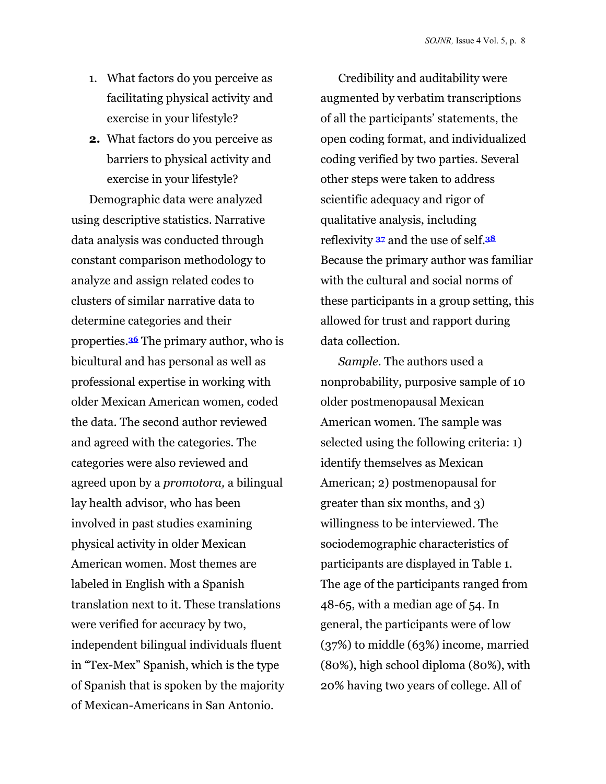- 1. What factors do you perceive as facilitating physical activity and exercise in your lifestyle?
- **2.** What factors do you perceive as barriers to physical activity and exercise in your lifestyle?

Demographic data were analyzed using descriptive statistics. Narrative data analysis was conducted through constant comparison methodology to analyze and assign related codes to clusters of similar narrative data to determine categories and their properties.**36** The primary author, who is bicultural and has personal as well as professional expertise in working with older Mexican American women, coded the data. The second author reviewed and agreed with the categories. The categories were also reviewed and agreed upon by a *promotora,* a bilingual lay health advisor, who has been involved in past studies examining physical activity in older Mexican American women. Most themes are labeled in English with a Spanish translation next to it. These translations were verified for accuracy by two, independent bilingual individuals fluent in "Tex-Mex" Spanish, which is the type of Spanish that is spoken by the majority of Mexican-Americans in San Antonio.

Credibility and auditability were augmented by verbatim transcriptions of all the participants' statements, the open coding format, and individualized coding verified by two parties. Several other steps were taken to address scientific adequacy and rigor of qualitative analysis, including reflexivity **<sup>37</sup>** and the use of self.**<sup>38</sup>** Because the primary author was familiar with the cultural and social norms of these participants in a group setting, this allowed for trust and rapport during data collection.

*Sample.* The authors used a nonprobability, purposive sample of 10 older postmenopausal Mexican American women. The sample was selected using the following criteria: 1) identify themselves as Mexican American; 2) postmenopausal for greater than six months, and 3) willingness to be interviewed. The sociodemographic characteristics of participants are displayed in Table 1. The age of the participants ranged from 48-65, with a median age of 54. In general, the participants were of low (37%) to middle (63%) income, married (80%), high school diploma (80%), with 20% having two years of college. All of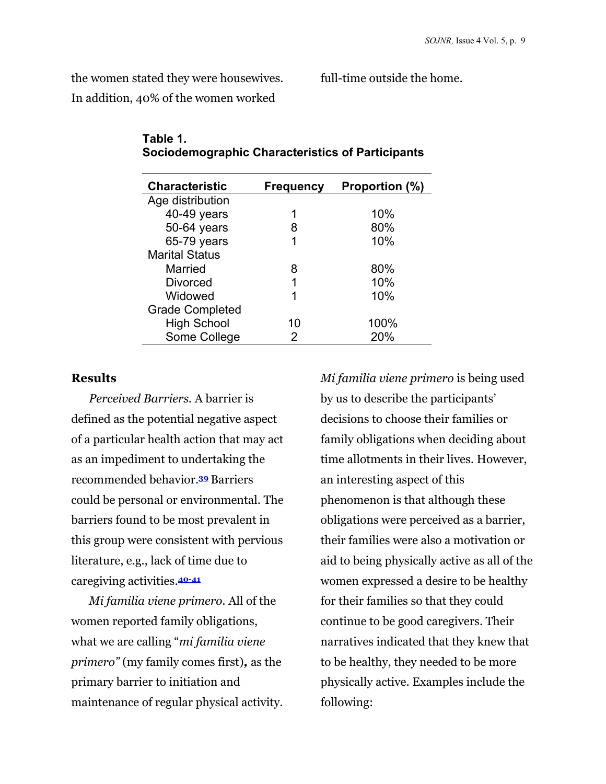the women stated they were housewives.

full-time outside the home.

In addition, 40% of the women worked

| <b>Characteristic</b>  | <b>Frequency</b> | Proportion (%) |
|------------------------|------------------|----------------|
| Age distribution       |                  |                |
| 40-49 years            | 1                | 10%            |
| 50-64 years            | 8                | 80%            |
| 65-79 years            | 1                | 10%            |
| <b>Marital Status</b>  |                  |                |
| Married                | 8                | 80%            |
| Divorced               | 1                | 10%            |
| Widowed                | 1                | 10%            |
| <b>Grade Completed</b> |                  |                |
| <b>High School</b>     | 10               | 100%           |
| Some College           | 2                | 20%            |
|                        |                  |                |

#### **Table 1. Sociodemographic Characteristics of Participants**

#### **Results**

*Perceived Barriers.* A barrier is defined as the potential negative aspect of a particular health action that may act as an impediment to undertaking the recommended behavior.**39** Barriers could be personal or environmental. The barriers found to be most prevalent in this group were consistent with pervious literature, e.g., lack of time due to caregiving activities.**40-41**

*Mi familia viene primero.* All of the women reported family obligations, what we are calling "*mi familia viene primero"* (my family comes first)*,* as the primary barrier to initiation and maintenance of regular physical activity. *Mi familia viene primero* is being used by us to describe the participants' decisions to choose their families or family obligations when deciding about time allotments in their lives. However, an interesting aspect of this phenomenon is that although these obligations were perceived as a barrier, their families were also a motivation or aid to being physically active as all of the women expressed a desire to be healthy for their families so that they could continue to be good caregivers. Their narratives indicated that they knew that to be healthy, they needed to be more physically active. Examples include the following: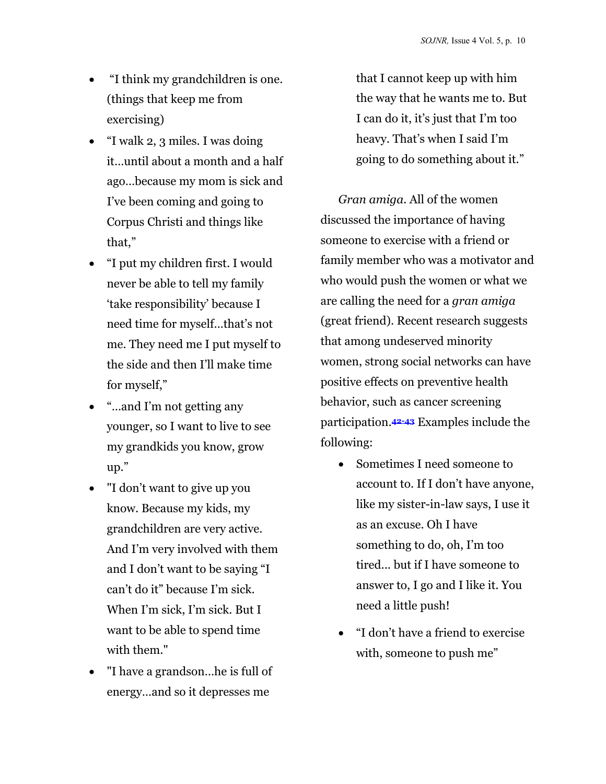- "I think my grandchildren is one. (things that keep me from exercising)
- "I walk 2, 3 miles. I was doing it…until about a month and a half ago…because my mom is sick and I've been coming and going to Corpus Christi and things like that,"
- "I put my children first. I would never be able to tell my family 'take responsibility' because I need time for myself…that's not me. They need me I put myself to the side and then I'll make time for myself,"
- "…and I'm not getting any younger, so I want to live to see my grandkids you know, grow up."
- "I don't want to give up you know. Because my kids, my grandchildren are very active. And I'm very involved with them and I don't want to be saying "I can't do it" because I'm sick. When I'm sick, I'm sick. But I want to be able to spend time with them."
- "I have a grandson…he is full of energy…and so it depresses me

that I cannot keep up with him the way that he wants me to. But I can do it, it's just that I'm too heavy. That's when I said I'm going to do something about it."

*Gran amiga.* All of the women discussed the importance of having someone to exercise with a friend or family member who was a motivator and who would push the women or what we are calling the need for a *gran amiga* (great friend). Recent research suggests that among undeserved minority women, strong social networks can have positive effects on preventive health behavior, such as cancer screening participation.**42-43** Examples include the following:

- Sometimes I need someone to account to. If I don't have anyone, like my sister-in-law says, I use it as an excuse. Oh I have something to do, oh, I'm too tired... but if I have someone to answer to, I go and I like it. You need a little push!
- "I don't have a friend to exercise with, someone to push me"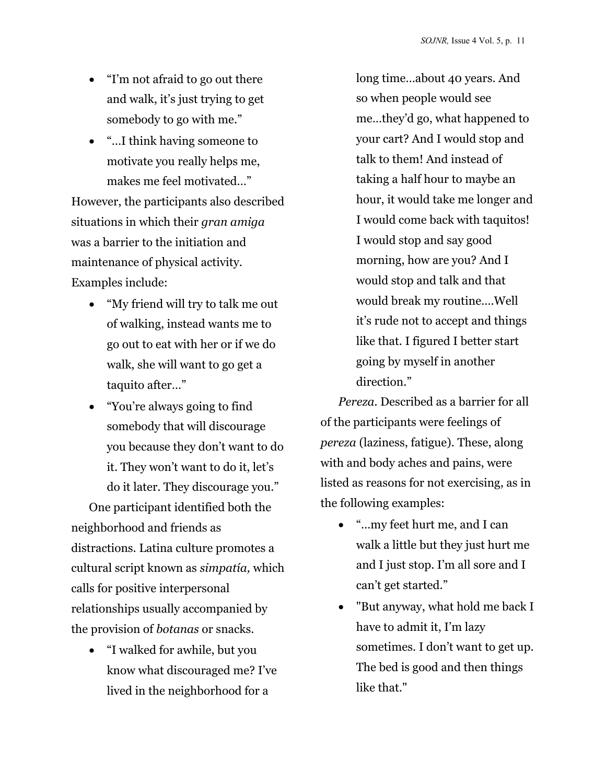- "I'm not afraid to go out there and walk, it's just trying to get somebody to go with me."
- "…I think having someone to motivate you really helps me, makes me feel motivated…"

However, the participants also described situations in which their *gran amiga*  was a barrier to the initiation and maintenance of physical activity. Examples include:

- "My friend will try to talk me out of walking, instead wants me to go out to eat with her or if we do walk, she will want to go get a taquito after…"
- "You're always going to find somebody that will discourage you because they don't want to do it. They won't want to do it, let's do it later. They discourage you."

One participant identified both the neighborhood and friends as distractions. Latina culture promotes a cultural script known as *simpatía,* which calls for positive interpersonal relationships usually accompanied by the provision of *botanas* or snacks.

• "I walked for awhile, but you know what discouraged me? I've lived in the neighborhood for a

long time…about 40 years. And so when people would see me…they'd go, what happened to your cart? And I would stop and talk to them! And instead of taking a half hour to maybe an hour, it would take me longer and I would come back with taquitos! I would stop and say good morning, how are you? And I would stop and talk and that would break my routine….Well it's rude not to accept and things like that. I figured I better start going by myself in another direction."

*Pereza.* Described as a barrier for all of the participants were feelings of *pereza* (laziness, fatigue). These, along with and body aches and pains, were listed as reasons for not exercising, as in the following examples:

- "…my feet hurt me, and I can walk a little but they just hurt me and I just stop. I'm all sore and I can't get started."
- "But anyway, what hold me back I have to admit it, I'm lazy sometimes. I don't want to get up. The bed is good and then things like that."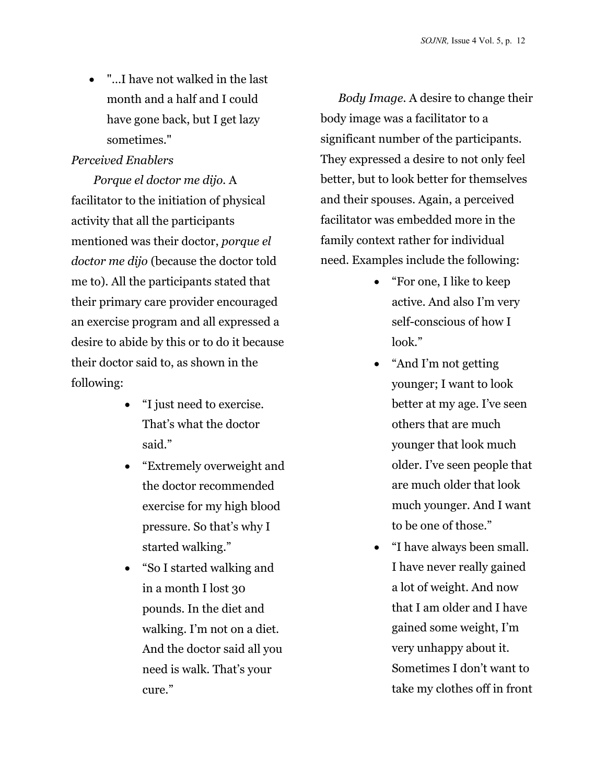• "…I have not walked in the last month and a half and I could have gone back, but I get lazy sometimes."

#### *Perceived Enablers*

*Porque el doctor me dijo.* A facilitator to the initiation of physical activity that all the participants mentioned was their doctor, *porque el doctor me dijo* (because the doctor told me to). All the participants stated that their primary care provider encouraged an exercise program and all expressed a desire to abide by this or to do it because their doctor said to, as shown in the following:

- "I just need to exercise. That's what the doctor said."
- "Extremely overweight and the doctor recommended exercise for my high blood pressure. So that's why I started walking."
- "So I started walking and in a month I lost 30 pounds. In the diet and walking. I'm not on a diet. And the doctor said all you need is walk. That's your cure."

*Body Image.* A desire to change their body image was a facilitator to a significant number of the participants. They expressed a desire to not only feel better, but to look better for themselves and their spouses. Again, a perceived facilitator was embedded more in the family context rather for individual need. Examples include the following:

- "For one, I like to keep active. And also I'm very self-conscious of how I look."
- "And I'm not getting younger; I want to look better at my age. I've seen others that are much younger that look much older. I've seen people that are much older that look much younger. And I want to be one of those."
- "I have always been small. I have never really gained a lot of weight. And now that I am older and I have gained some weight, I'm very unhappy about it. Sometimes I don't want to take my clothes off in front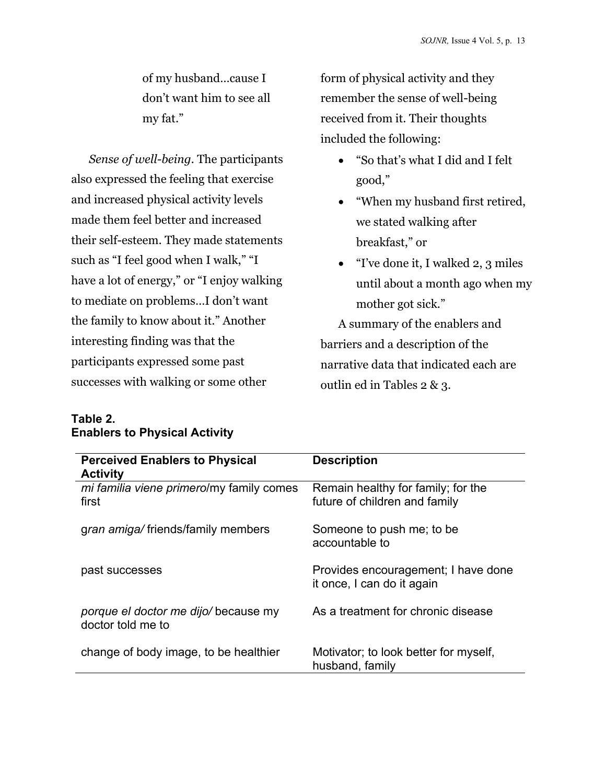of my husband…cause I don't want him to see all my fat."

*Sense of well-being.* The participants also expressed the feeling that exercise and increased physical activity levels made them feel better and increased their self-esteem. They made statements such as "I feel good when I walk," "I have a lot of energy," or "I enjoy walking to mediate on problems…I don't want the family to know about it." Another interesting finding was that the participants expressed some past successes with walking or some other

form of physical activity and they remember the sense of well-being received from it. Their thoughts included the following:

- "So that's what I did and I felt good,"
- "When my husband first retired, we stated walking after breakfast," or
- "I've done it, I walked 2, 3 miles until about a month ago when my mother got sick."

A summary of the enablers and barriers and a description of the narrative data that indicated each are outlin ed in Tables 2 & 3.

| <b>Perceived Enablers to Physical</b><br><b>Activity</b> | <b>Description</b>                                                  |
|----------------------------------------------------------|---------------------------------------------------------------------|
| mi familia viene primero/my family comes<br>first        | Remain healthy for family; for the<br>future of children and family |
| gran amiga/friends/family members                        | Someone to push me; to be<br>accountable to                         |
| past successes                                           | Provides encouragement; I have done<br>it once, I can do it again   |
| porque el doctor me dijo/because my<br>doctor told me to | As a treatment for chronic disease                                  |
| change of body image, to be healthier                    | Motivator; to look better for myself,<br>husband, family            |

#### **Table 2. Enablers to Physical Activity**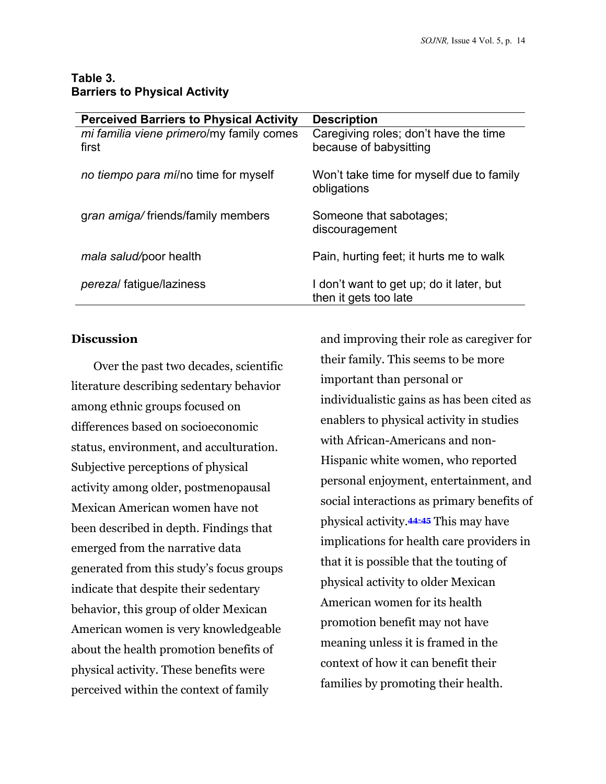#### **Table 3. Barriers to Physical Activity**

| <b>Perceived Barriers to Physical Activity</b> | <b>Description</b>                       |
|------------------------------------------------|------------------------------------------|
| mi familia viene primero/my family comes       | Caregiving roles; don't have the time    |
| first                                          | because of babysitting                   |
| no tiempo para mí/no time for myself           | Won't take time for myself due to family |
|                                                | obligations                              |
|                                                |                                          |
| gran amiga/friends/family members              | Someone that sabotages;                  |
|                                                | discouragement                           |
| mala salud/poor health                         | Pain, hurting feet; it hurts me to walk  |
|                                                |                                          |
| <i>perezal</i> fatigue/laziness                | I don't want to get up; do it later, but |
|                                                | then it gets too late                    |

#### **Discussion**

Over the past two decades, scientific literature describing sedentary behavior among ethnic groups focused on differences based on socioeconomic status, environment, and acculturation. Subjective perceptions of physical activity among older, postmenopausal Mexican American women have not been described in depth. Findings that emerged from the narrative data generated from this study's focus groups indicate that despite their sedentary behavior, this group of older Mexican American women is very knowledgeable about the health promotion benefits of physical activity. These benefits were perceived within the context of family

and improving their role as caregiver for their family. This seems to be more important than personal or individualistic gains as has been cited as enablers to physical activity in studies with African-Americans and non-Hispanic white women, who reported personal enjoyment, entertainment, and social interactions as primary benefits of physical activity.**44-45** This may have implications for health care providers in that it is possible that the touting of physical activity to older Mexican American women for its health promotion benefit may not have meaning unless it is framed in the context of how it can benefit their families by promoting their health.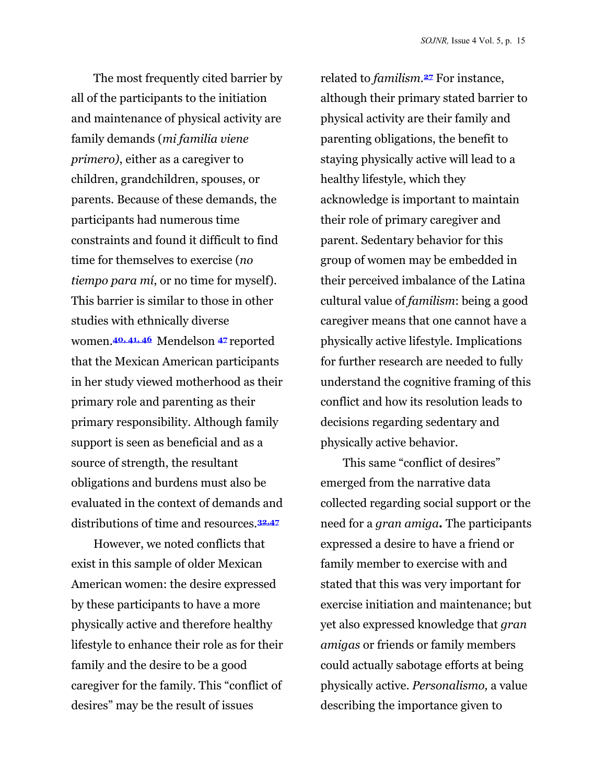The most frequently cited barrier by all of the participants to the initiation and maintenance of physical activity are family demands (*mi familia viene primero)*, either as a caregiver to children, grandchildren, spouses, or parents. Because of these demands, the participants had numerous time constraints and found it difficult to find time for themselves to exercise (*no tiempo para mí*, or no time for myself). This barrier is similar to those in other studies with ethnically diverse women.**40, 41, 46** Mendelson **<sup>47</sup>** reported that the Mexican American participants in her study viewed motherhood as their primary role and parenting as their primary responsibility. Although family support is seen as beneficial and as a source of strength, the resultant obligations and burdens must also be evaluated in the context of demands and distributions of time and resources.**32,47**

However, we noted conflicts that exist in this sample of older Mexican American women: the desire expressed by these participants to have a more physically active and therefore healthy lifestyle to enhance their role as for their family and the desire to be a good caregiver for the family. This "conflict of desires" may be the result of issues

related to *familism.***27** For instance, although their primary stated barrier to physical activity are their family and parenting obligations, the benefit to staying physically active will lead to a healthy lifestyle, which they acknowledge is important to maintain their role of primary caregiver and parent. Sedentary behavior for this group of women may be embedded in their perceived imbalance of the Latina cultural value of *familism*: being a good caregiver means that one cannot have a physically active lifestyle. Implications for further research are needed to fully understand the cognitive framing of this conflict and how its resolution leads to decisions regarding sedentary and physically active behavior.

This same "conflict of desires" emerged from the narrative data collected regarding social support or the need for a *gran amiga.* The participants expressed a desire to have a friend or family member to exercise with and stated that this was very important for exercise initiation and maintenance; but yet also expressed knowledge that *gran amigas* or friends or family members could actually sabotage efforts at being physically active. *Personalismo,* a value describing the importance given to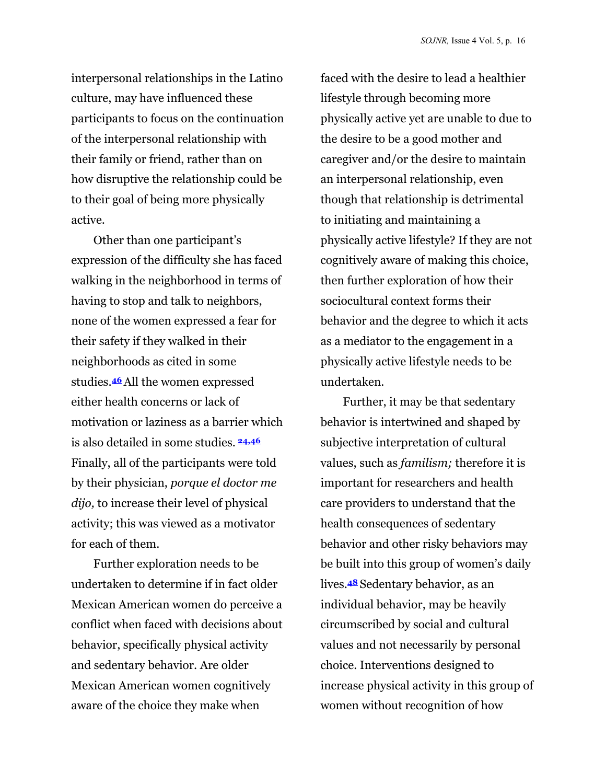interpersonal relationships in the Latino culture, may have influenced these participants to focus on the continuation of the interpersonal relationship with their family or friend, rather than on how disruptive the relationship could be to their goal of being more physically active.

Other than one participant's expression of the difficulty she has faced walking in the neighborhood in terms of having to stop and talk to neighbors, none of the women expressed a fear for their safety if they walked in their neighborhoods as cited in some studies.**46**All the women expressed either health concerns or lack of motivation or laziness as a barrier which is also detailed in some studies. **24,46**  Finally, all of the participants were told by their physician, *porque el doctor me dijo,* to increase their level of physical activity; this was viewed as a motivator for each of them.

Further exploration needs to be undertaken to determine if in fact older Mexican American women do perceive a conflict when faced with decisions about behavior, specifically physical activity and sedentary behavior. Are older Mexican American women cognitively aware of the choice they make when

faced with the desire to lead a healthier lifestyle through becoming more physically active yet are unable to due to the desire to be a good mother and caregiver and/or the desire to maintain an interpersonal relationship, even though that relationship is detrimental to initiating and maintaining a physically active lifestyle? If they are not cognitively aware of making this choice, then further exploration of how their sociocultural context forms their behavior and the degree to which it acts as a mediator to the engagement in a physically active lifestyle needs to be undertaken.

Further, it may be that sedentary behavior is intertwined and shaped by subjective interpretation of cultural values, such as *familism;* therefore it is important for researchers and health care providers to understand that the health consequences of sedentary behavior and other risky behaviors may be built into this group of women's daily lives.**<sup>48</sup>** Sedentary behavior, as an individual behavior, may be heavily circumscribed by social and cultural values and not necessarily by personal choice. Interventions designed to increase physical activity in this group of women without recognition of how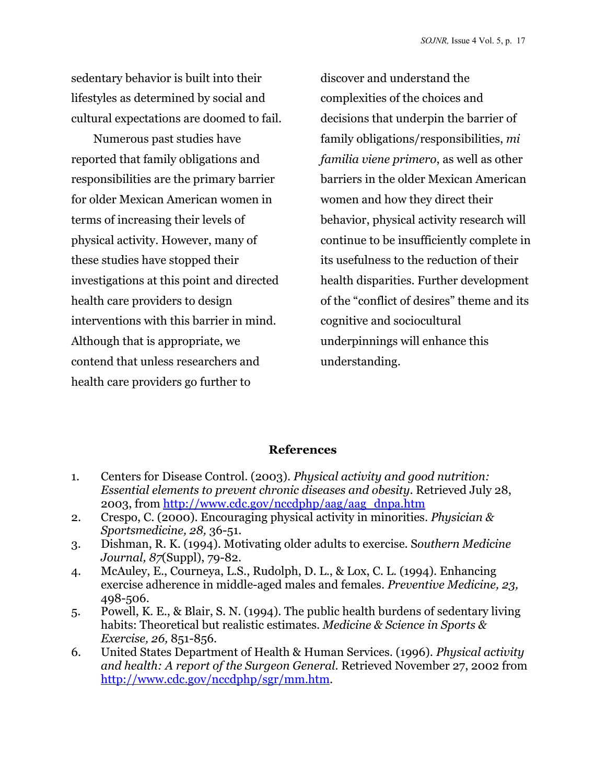sedentary behavior is built into their lifestyles as determined by social and cultural expectations are doomed to fail.

Numerous past studies have reported that family obligations and responsibilities are the primary barrier for older Mexican American women in terms of increasing their levels of physical activity. However, many of these studies have stopped their investigations at this point and directed health care providers to design interventions with this barrier in mind. Although that is appropriate, we contend that unless researchers and health care providers go further to

discover and understand the complexities of the choices and decisions that underpin the barrier of family obligations/responsibilities, *mi familia viene primero*, as well as other barriers in the older Mexican American women and how they direct their behavior, physical activity research will continue to be insufficiently complete in its usefulness to the reduction of their health disparities. Further development of the "conflict of desires" theme and its cognitive and sociocultural underpinnings will enhance this understanding.

#### **References**

- 1. Centers for Disease Control. (2003). *Physical activity and good nutrition: Essential elements to prevent chronic diseases and obesity*. Retrieved July 28, 2003, from [http://www.cdc.gov/nccdphp/aag/aag\\_dnpa.htm](http://www.cdc.gov/nccdphp/aag/aag_dnpa.htm)
- 2. Crespo, C. (2000). Encouraging physical activity in minorities. *Physician & Sportsmedicine, 28,* 36-51.
- 3. Dishman, R. K. (1994). Motivating older adults to exercise. S*outhern Medicine Journal, 87*(Suppl), 79-82.
- 4. McAuley, E., Courneya, L.S., Rudolph, D. L., & Lox, C. L. (1994). Enhancing exercise adherence in middle-aged males and females. *Preventive Medicine, 23,*  498-506.
- 5. Powell, K. E., & Blair, S. N. (1994). The public health burdens of sedentary living habits: Theoretical but realistic estimates. *Medicine & Science in Sports & Exercise, 26,* 851-856.
- 6. United States Department of Health & Human Services. (1996). *Physical activity and health: A report of the Surgeon General.* Retrieved November 27, 2002 from [http://www.cdc.gov/nccdphp/sgr/mm.htm.](http://www.cdc.gov/nccdphp/sgr/mm.htm)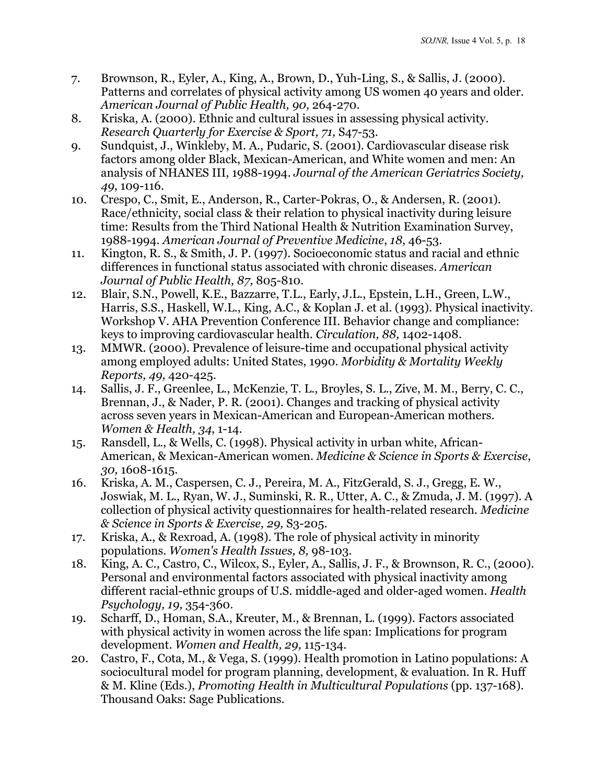- 7. Brownson, R., Eyler, A., King, A., Brown, D., Yuh-Ling, S., & Sallis, J. (2000). Patterns and correlates of physical activity among US women 40 years and older. *American Journal of Public Health, 90,* 264-270.
- 8. Kriska, A. (2000). Ethnic and cultural issues in assessing physical activity. *Research Quarterly for Exercise & Sport, 71,* S47-53.
- 9. Sundquist, J., Winkleby, M. A., Pudaric, S. (2001). Cardiovascular disease risk factors among older Black, Mexican-American, and White women and men: An analysis of NHANES III, 1988-1994. *Journal of the American Geriatrics Society, 49*, 109-116.
- 10. Crespo, C., Smit, E., Anderson, R., Carter-Pokras, O., & Andersen, R. (2001). Race/ethnicity, social class & their relation to physical inactivity during leisure time: Results from the Third National Health & Nutrition Examination Survey, 1988-1994. *American Journal of Preventive Medicine*, *18*, 46-53.
- 11. Kington, R. S., & Smith, J. P. (1997). Socioeconomic status and racial and ethnic differences in functional status associated with chronic diseases. *American Journal of Public Health, 87,* 805-810.
- 12. Blair, S.N., Powell, K.E., Bazzarre, T.L., Early, J.L., Epstein, L.H., Green, L.W., Harris, S.S., Haskell, W.L., King, A.C., & Koplan J. et al. (1993). Physical inactivity. Workshop V. AHA Prevention Conference III. Behavior change and compliance: keys to improving cardiovascular health. *Circulation, 88,* 1402-1408.
- 13. MMWR. (2000). Prevalence of leisure-time and occupational physical activity among employed adults: United States, 1990. *Morbidity & Mortality Weekly Reports, 49,* 420-425.
- 14. Sallis, J. F., Greenlee, L., McKenzie, T. L., Broyles, S. L., Zive, M. M., Berry, C. C., Brennan, J., & Nader, P. R. (2001). Changes and tracking of physical activity across seven years in Mexican-American and European-American mothers. *Women & Health, 34*, 1-14.
- 15. Ransdell, L., & Wells, C. (1998). Physical activity in urban white, African-American, & Mexican-American women. *Medicine & Science in Sports & Exercise*, *30,* 1608-1615.
- 16. Kriska, A. M., Caspersen, C. J., Pereira, M. A., FitzGerald, S. J., Gregg, E. W., Joswiak, M. L., Ryan, W. J., Suminski, R. R., Utter, A. C., & Zmuda, J. M. (1997). A collection of physical activity questionnaires for health-related research*. Medicine & Science in Sports & Exercise, 29,* S3-205.
- 17. Kriska, A., & Rexroad, A. (1998). The role of physical activity in minority populations. *Women's Health Issues, 8,* 98-103.
- 18. King, A. C., Castro, C., Wilcox, S., Eyler, A., Sallis, J. F., & Brownson, R. C., (2000). Personal and environmental factors associated with physical inactivity among different racial-ethnic groups of U.S. middle-aged and older-aged women. *Health Psychology, 19,* 354-360.
- 19. Scharff, D., Homan, S.A., Kreuter, M., & Brennan, L. (1999). Factors associated with physical activity in women across the life span: Implications for program development. *Women and Health, 29,* 115-134.
- 20. Castro, F., Cota, M., & Vega, S. (1999). Health promotion in Latino populations: A sociocultural model for program planning, development, & evaluation. In R. Huff & M. Kline (Eds.), *Promoting Health in Multicultural Populations* (pp. 137-168). Thousand Oaks: Sage Publications.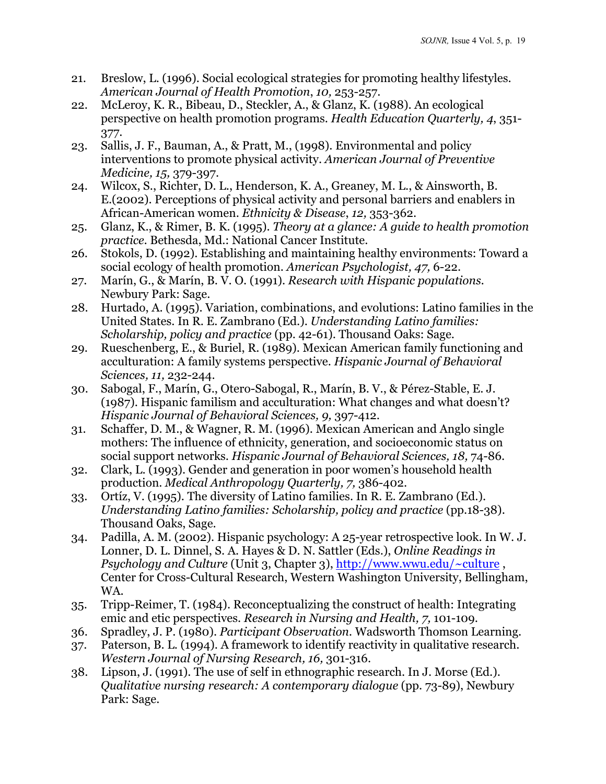- 21. Breslow, L. (1996). Social ecological strategies for promoting healthy lifestyles. *American Journal of Health Promotion*, *10,* 253-257.
- 22. McLeroy, K. R., Bibeau, D., Steckler, A., & Glanz, K. (1988). An ecological perspective on health promotion programs. *Health Education Quarterly, 4*, 351- 377.
- 23. Sallis, J. F., Bauman, A., & Pratt, M., (1998). Environmental and policy interventions to promote physical activity. *American Journal of Preventive Medicine, 15,* 379-397.
- 24. Wilcox, S., Richter, D. L., Henderson, K. A., Greaney, M. L., & Ainsworth, B. E.(2002). Perceptions of physical activity and personal barriers and enablers in African-American women. *Ethnicity & Disease*, *12,* 353-362.
- 25. Glanz, K., & Rimer, B. K. (1995). *Theory at a glance: A guide to health promotion practice.* Bethesda, Md.: National Cancer Institute.
- 26. Stokols, D. (1992). Establishing and maintaining healthy environments: Toward a social ecology of health promotion. *American Psychologist, 47,* 6-22.
- 27. Marín, G., & Marín, B. V. O. (1991). *Research with Hispanic populations.*  Newbury Park: Sage.
- 28. Hurtado, A. (1995). Variation, combinations, and evolutions: Latino families in the United States. In R. E. Zambrano (Ed.). *Understanding Latino families: Scholarship, policy and practice* (pp. 42-61). Thousand Oaks: Sage.
- 29. Rueschenberg, E., & Buriel, R. (1989). Mexican American family functioning and acculturation: A family systems perspective. *Hispanic Journal of Behavioral Sciences, 11,* 232-244.
- 30. Sabogal, F., Marín, G., Otero-Sabogal, R., Marín, B. V., & Pérez-Stable, E. J. (1987). Hispanic familism and acculturation: What changes and what doesn't? *Hispanic Journal of Behavioral Sciences, 9,* 397-412.
- 31. Schaffer, D. M., & Wagner, R. M. (1996). Mexican American and Anglo single mothers: The influence of ethnicity, generation, and socioeconomic status on social support networks. *Hispanic Journal of Behavioral Sciences, 18,* 74-86.
- 32. Clark, L. (1993). Gender and generation in poor women's household health production. *Medical Anthropology Quarterly, 7,* 386-402.
- 33. Ortíz, V. (1995). The diversity of Latino families. In R. E. Zambrano (Ed.). *Understanding Latino families: Scholarship, policy and practice* (pp.18-38). Thousand Oaks, Sage.
- 34. Padilla, A. M. (2002). Hispanic psychology: A 25-year retrospective look. In W. J. Lonner, D. L. Dinnel, S. A. Hayes & D. N. Sattler (Eds.), *Online Readings in Psychology and Culture* (Unit 3, Chapter 3)[, http://www.wwu.edu/~culture](http://www.wwu.edu/~culture), Center for Cross-Cultural Research, Western Washington University, Bellingham, WA.
- 35. Tripp-Reimer, T. (1984). Reconceptualizing the construct of health: Integrating emic and etic perspectives. *Research in Nursing and Health, 7,* 101-109.
- 36. Spradley, J. P. (1980). *Participant Observation.* Wadsworth Thomson Learning.
- 37. Paterson, B. L. (1994). A framework to identify reactivity in qualitative research. *Western Journal of Nursing Research, 16,* 301-316.
- 38. Lipson, J. (1991). The use of self in ethnographic research. In J. Morse (Ed.). *Qualitative nursing research: A contemporary dialogue* (pp. 73-89), Newbury Park: Sage.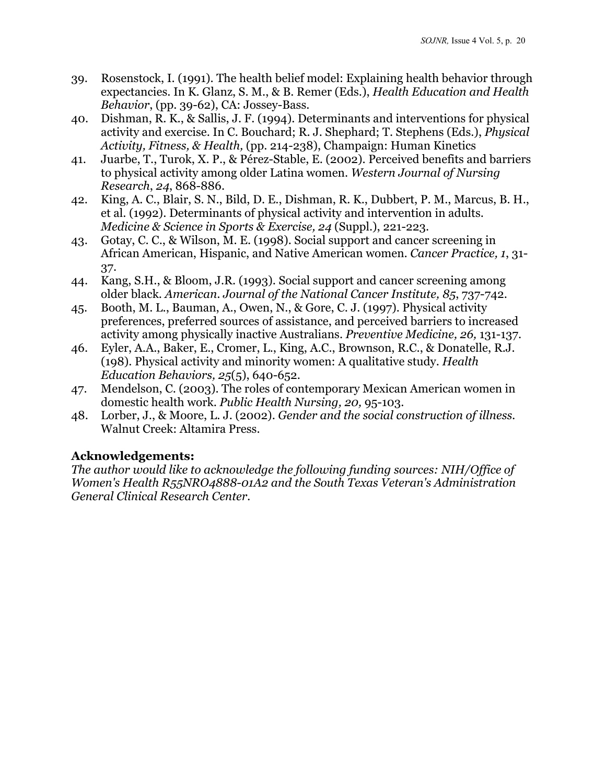- 39. Rosenstock, I. (1991). The health belief model: Explaining health behavior through expectancies. In K. Glanz, S. M., & B. Remer (Eds.), *Health Education and Health Behavior*, (pp. 39-62), CA: Jossey-Bass.
- 40. Dishman, R. K., & Sallis, J. F. (1994). Determinants and interventions for physical activity and exercise. In C. Bouchard; R. J. Shephard; T. Stephens (Eds.), *Physical Activity, Fitness, & Health,* (pp. 214-238), Champaign: Human Kinetics
- 41. Juarbe, T., Turok, X. P., & Pérez-Stable, E. (2002). Perceived benefits and barriers to physical activity among older Latina women. *Western Journal of Nursing Research*, *24*, 868-886.
- 42. King, A. C., Blair, S. N., Bild, D. E., Dishman, R. K., Dubbert, P. M., Marcus, B. H., et al. (1992). Determinants of physical activity and intervention in adults. *Medicine & Science in Sports & Exercise, 24* (Suppl.), 221-223.
- 43. Gotay, C. C., & Wilson, M. E. (1998). Social support and cancer screening in African American, Hispanic, and Native American women*. Cancer Practice, 1*, 31- 37.
- 44. Kang, S.H., & Bloom, J.R. (1993). Social support and cancer screening among older black. *American. Journal of the National Cancer Institute, 85*, 737-742.
- 45. Booth, M. L., Bauman, A., Owen, N., & Gore, C. J. (1997). Physical activity preferences, preferred sources of assistance, and perceived barriers to increased activity among physically inactive Australians. *Preventive Medicine, 26,* 131-137.
- 46. Eyler, A.A., Baker, E., Cromer, L., King, A.C., Brownson, R.C., & Donatelle, R.J. (198). Physical activity and minority women: A qualitative study. *Health Education Behaviors, 25*(5), 640-652.
- 47. Mendelson, C. (2003). The roles of contemporary Mexican American women in domestic health work. *Public Health Nursing, 20,* 95-103.
- 48. Lorber, J., & Moore, L. J. (2002). *Gender and the social construction of illness.*  Walnut Creek: Altamira Press.

### **Acknowledgements:**

*The author would like to acknowledge the following funding sources: NIH/Office of Women's Health R55NRO4888-01A2 and the South Texas Veteran's Administration General Clinical Research Center.*